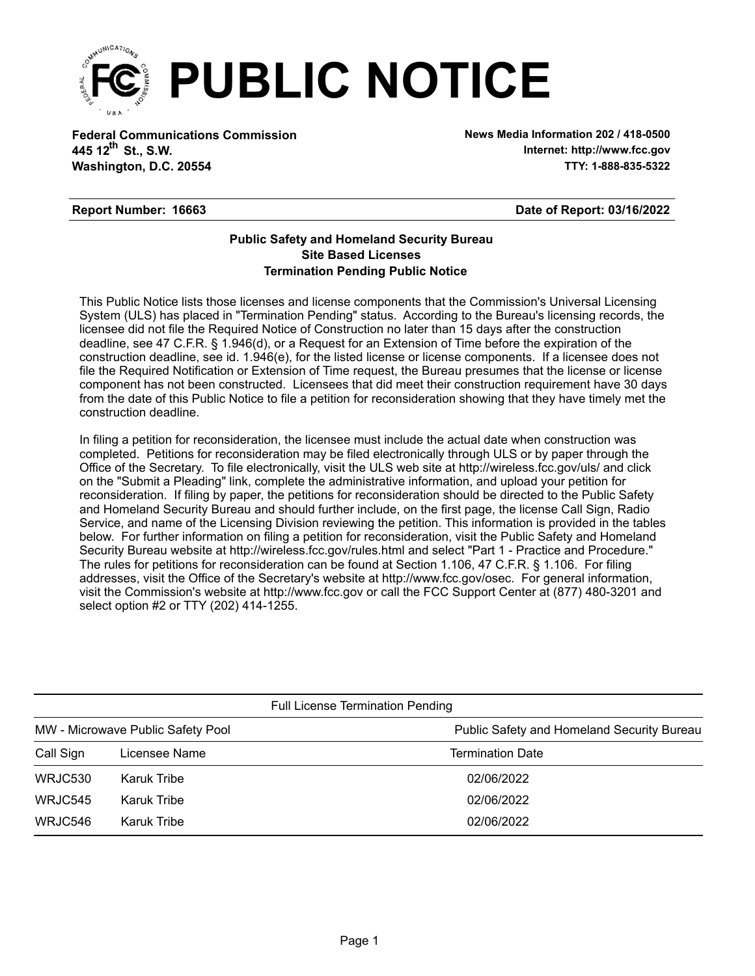

**Federal Communications Commission News Media Information 202 / 418-0500 Washington, D.C. 20554 TTY: 1-888-835-5322 445 12<sup>th</sup> St., S.W.** 

**Internet: http://www.fcc.gov**

## **Report Number: 16663**

## **Date of Report: 03/16/2022**

## **Termination Pending Public Notice Site Based Licenses Public Safety and Homeland Security Bureau**

This Public Notice lists those licenses and license components that the Commission's Universal Licensing System (ULS) has placed in "Termination Pending" status. According to the Bureau's licensing records, the licensee did not file the Required Notice of Construction no later than 15 days after the construction deadline, see 47 C.F.R. § 1.946(d), or a Request for an Extension of Time before the expiration of the construction deadline, see id. 1.946(e), for the listed license or license components. If a licensee does not file the Required Notification or Extension of Time request, the Bureau presumes that the license or license component has not been constructed. Licensees that did meet their construction requirement have 30 days from the date of this Public Notice to file a petition for reconsideration showing that they have timely met the construction deadline.

In filing a petition for reconsideration, the licensee must include the actual date when construction was completed. Petitions for reconsideration may be filed electronically through ULS or by paper through the Office of the Secretary. To file electronically, visit the ULS web site at http://wireless.fcc.gov/uls/ and click on the "Submit a Pleading" link, complete the administrative information, and upload your petition for reconsideration. If filing by paper, the petitions for reconsideration should be directed to the Public Safety and Homeland Security Bureau and should further include, on the first page, the license Call Sign, Radio Service, and name of the Licensing Division reviewing the petition. This information is provided in the tables below. For further information on filing a petition for reconsideration, visit the Public Safety and Homeland Security Bureau website at http://wireless.fcc.gov/rules.html and select "Part 1 - Practice and Procedure." The rules for petitions for reconsideration can be found at Section 1.106, 47 C.F.R. § 1.106. For filing addresses, visit the Office of the Secretary's website at http://www.fcc.gov/osec. For general information, visit the Commission's website at http://www.fcc.gov or call the FCC Support Center at (877) 480-3201 and select option #2 or TTY (202) 414-1255.

| <b>Full License Termination Pending</b> |               |                                            |  |  |  |
|-----------------------------------------|---------------|--------------------------------------------|--|--|--|
| MW - Microwave Public Safety Pool       |               | Public Safety and Homeland Security Bureau |  |  |  |
| Call Sign                               | Licensee Name | <b>Termination Date</b>                    |  |  |  |
| WRJC530                                 | Karuk Tribe   | 02/06/2022                                 |  |  |  |
| <b>WRJC545</b>                          | Karuk Tribe   | 02/06/2022                                 |  |  |  |
| WRJC546                                 | Karuk Tribe   | 02/06/2022                                 |  |  |  |